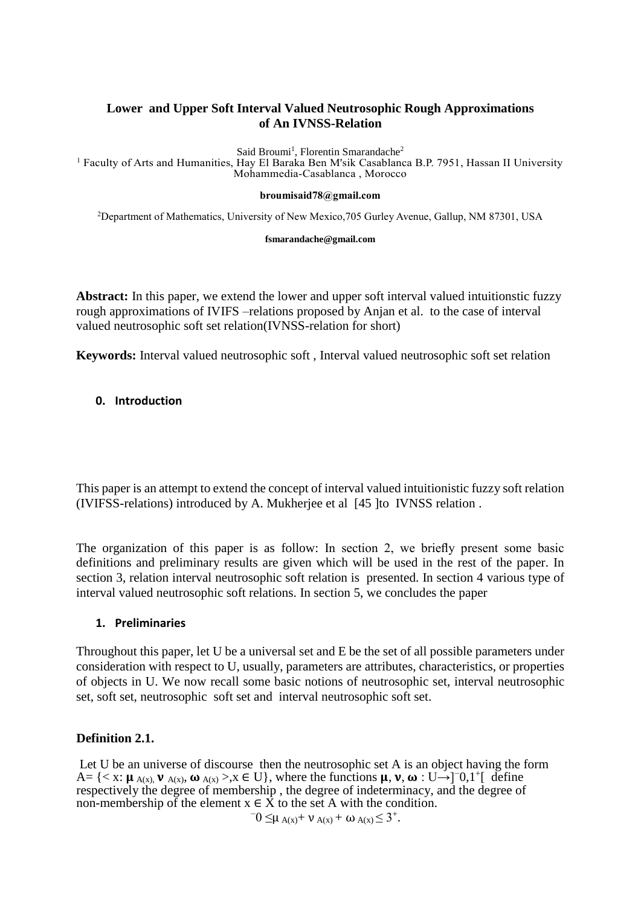## **Lower and Upper Soft Interval Valued Neutrosophic Rough Approximations of An IVNSS-Relation**

Said Broumi<sup>1</sup>, Florentin Smarandache<sup>2</sup>

<sup>1</sup> Faculty of Arts and Humanities, Hay El Baraka Ben M'sik Casablanca B.P. 7951, Hassan II University Mohammedia-Casablanca , Morocco

#### **[broumisaid78@gmail.com](mailto:1broumisaid78@gmail.com)**

<sup>2</sup>Department of Mathematics, University of New Mexico,705 Gurley Avenue, Gallup, NM 87301, USA

#### **[fsmarandache@gmail.com](mailto:fsmarandache@gmail.com)**

**Abstract:** In this paper, we extend the lower and upper soft interval valued intuitionstic fuzzy rough approximations of IVIFS –relations proposed by Anjan et al. to the case of interval valued neutrosophic soft set relation(IVNSS-relation for short)

**Keywords:** Interval valued neutrosophic soft , Interval valued neutrosophic soft set relation

## **0. Introduction**

This paper is an attempt to extend the concept of interval valued intuitionistic fuzzy soft relation (IVIFSS-relations) introduced by A. Mukherjee et al [45 ]to IVNSS relation .

The organization of this paper is as follow: In section 2, we briefly present some basic definitions and preliminary results are given which will be used in the rest of the paper. In section 3, relation interval neutrosophic soft relation is presented. In section 4 various type of interval valued neutrosophic soft relations. In section 5, we concludes the paper

## **1. Preliminaries**

Throughout this paper, let U be a universal set and E be the set of all possible parameters under consideration with respect to U, usually, parameters are attributes, characteristics, or properties of objects in U. We now recall some basic notions of neutrosophic set, interval neutrosophic set, soft set, neutrosophic soft set and interval neutrosophic soft set.

## **Definition 2.1.**

Let U be an universe of discourse then the neutrosophic set A is an object having the form  $A = \{ \langle x : \mu_{A(x),} \nu_{A(x),} \omega_{A(x)}, \lambda x \in U \}, \text{ where the functions } \mu, \nu, \omega : U \rightarrow ]0,1^{\dagger} \text{ define }$ respectively the degree of membership , the degree of indeterminacy, and the degree of non-membership of the element  $x \in \overrightarrow{X}$  to the set A with the condition. −

 $0 \leq \mu$  A(x) +  $\nu$  A(x) + ω A(x)  $\leq 3^+$ .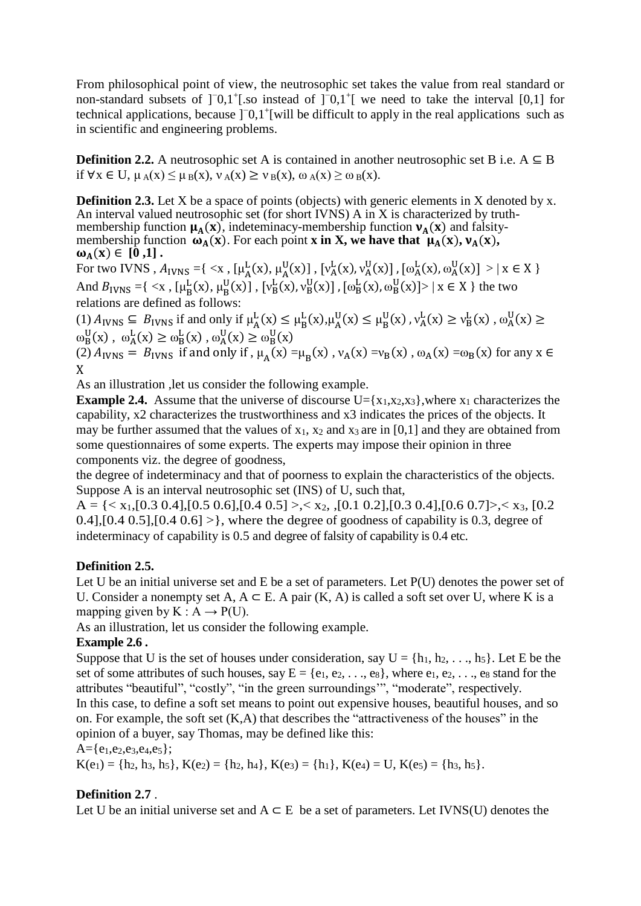From philosophical point of view, the neutrosophic set takes the value from real standard or non-standard subsets of ]<sup>-</sup>0,1<sup>+</sup>[.so instead of ]<sup>-</sup>0,1<sup>+</sup>[ we need to take the interval [0,1] for technical applications, because ]<sup>-</sup>0,1<sup>+</sup>[will be difficult to apply in the real applications such as in scientific and engineering problems.

**Definition 2.2.** A neutrosophic set A is contained in another neutrosophic set B i.e.  $A \subseteq B$ if  $\forall x \in U$ ,  $\mu_A(x) \leq \mu_B(x)$ ,  $\nu_A(x) \geq \nu_B(x)$ ,  $\omega_A(x) \geq \omega_B(x)$ .

**Definition 2.3.** Let X be a space of points (objects) with generic elements in X denoted by x. An interval valued neutrosophic set (for short IVNS) A in X is characterized by truthmembership function  $\mu_A(x)$ , indeteminacy-membership function  $\nu_A(x)$  and falsitymembership function  $\omega_A(x)$ . For each point **x** in **X**, we have that  $\mu_A(x)$ ,  $\nu_A(x)$ ,  $\omega_A(x) \in [0,1]$ .

For two IVNS ,  $A_{IVNS} = \{ \langle x, [\mu_A^L(x), \mu_A^U(x)], [\nu_A^L(x), \nu_A^U(x)], [\omega_A^L(x), \omega_A^U(x)] \rangle | x \in X \}$ And  $B_{IVNS} = \{ \langle x, [\mu_B^L(x), \mu_B^U(x)], [\nu_B^L(x), \nu_B^U(x)], [\omega_B^L(x), \omega_B^U(x)] \rangle \mid x \in X \}$  the two relations are defined as follows:

(1)  $A_{IVNS} \subseteq B_{IVNS}$  if and only if  $\mu_A^L(x) \le \mu_B^L(x)$ ,  $\mu_A^U(x) \le \mu_B^U(x)$ ,  $v_A^L(x) \ge v_B^L(x)$ ,  $\omega_A^U(x) \ge$  $\omega_B^U(x)$ ,  $\omega_A^L(x) \ge \omega_B^L(x)$ ,  $\omega_A^U(x) \ge \omega_B^U(x)$ 

(2)  $A_{IVNS} = B_{IVNS}$  if and only if,  $\mu_A(x) = \mu_B(x)$ ,  $v_A(x) = v_B(x)$ ,  $\omega_A(x) = \omega_B(x)$  for any  $x \in$ X

As an illustration ,let us consider the following example.

**Example 2.4.** Assume that the universe of discourse  $U = \{x_1, x_2, x_3\}$ , where  $x_1$  characterizes the capability, x2 characterizes the trustworthiness and x3 indicates the prices of the objects. It may be further assumed that the values of  $x_1$ ,  $x_2$  and  $x_3$  are in [0,1] and they are obtained from some questionnaires of some experts. The experts may impose their opinion in three components viz. the degree of goodness,

the degree of indeterminacy and that of poorness to explain the characteristics of the objects. Suppose A is an interval neutrosophic set (INS) of U, such that,

 $A = \{ \langle x_1, [0.3 \, 0.4], [0.5 \, 0.6], [0.4 \, 0.5] \rangle, \langle x_2, \langle 0.1 \, 0.2], [0.3 \, 0.4], [0.6 \, 0.7] \rangle, \langle x_3, [0.2 \, 0.4], [0.6 \, 0.7] \rangle, \langle x_4, \langle 0.6 \, 0.7], \langle x_5, [0.6 \, 0.7], \langle x_6, [0.6 \, 0.7], \langle x_7, [0.6 \, 0.7], \langle x_8, [0.6 \, 0.7], \langle x_9, [0.6 \,$  $0.4$ ],  $[0.4 \ 0.5]$ ,  $[0.4 \ 0.6]$  > }, where the degree of goodness of capability is 0.3, degree of indeterminacy of capability is 0.5 and degree of falsity of capability is 0.4 etc.

# **Definition 2.5.**

Let U be an initial universe set and E be a set of parameters. Let P(U) denotes the power set of U. Consider a nonempty set A,  $A \subseteq E$ . A pair  $(K, A)$  is called a soft set over U, where K is a mapping given by  $K : A \rightarrow P(U)$ .

As an illustration, let us consider the following example.

## **Example 2.6 .**

Suppose that U is the set of houses under consideration, say  $U = \{h_1, h_2, \ldots, h_5\}$ . Let E be the set of some attributes of such houses, say  $E = \{e_1, e_2, \ldots, e_8\}$ , where  $e_1, e_2, \ldots, e_8$  stand for the attributes "beautiful", "costly", "in the green surroundings'", "moderate", respectively. In this case, to define a soft set means to point out expensive houses, beautiful houses, and so on. For example, the soft set  $(K, A)$  that describes the "attractiveness of the houses" in the opinion of a buyer, say Thomas, may be defined like this:

 $A = \{e_1, e_2, e_3, e_4, e_5\}$ ;

 $K(e_1) = \{h_2, h_3, h_5\}, K(e_2) = \{h_2, h_4\}, K(e_3) = \{h_1\}, K(e_4) = U, K(e_5) = \{h_3, h_5\}.$ 

# **Definition 2.7** .

Let U be an initial universe set and  $A \subseteq E$  be a set of parameters. Let IVNS(U) denotes the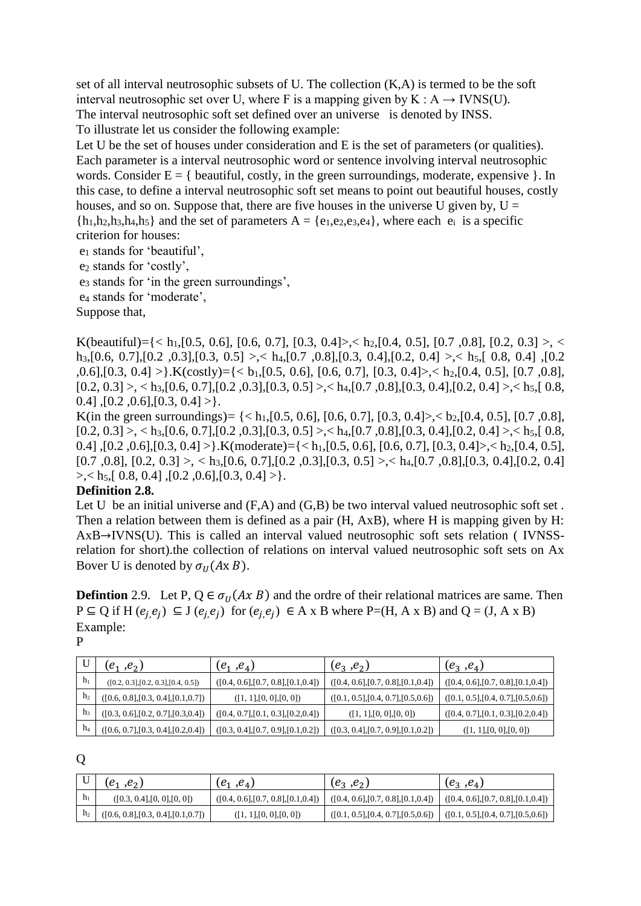set of all interval neutrosophic subsets of U. The collection (K,A) is termed to be the soft interval neutrosophic set over U, where F is a mapping given by  $K : A \rightarrow IVNS(U)$ . The interval neutrosophic soft set defined over an universe is denoted by INSS. To illustrate let us consider the following example:

Let U be the set of houses under consideration and E is the set of parameters (or qualities). Each parameter is a interval neutrosophic word or sentence involving interval neutrosophic words. Consider  $E = \{$  beautiful, costly, in the green surroundings, moderate, expensive  $\}$ . In this case, to define a interval neutrosophic soft set means to point out beautiful houses, costly houses, and so on. Suppose that, there are five houses in the universe U given by,  $U =$  ${h_1,h_2,h_3,h_4,h_5}$  and the set of parameters  $A = {e_1,e_2,e_3,e_4}$ , where each  $e_i$  is a specific criterion for houses:

e<sup>1</sup> stands for 'beautiful',

e<sup>2</sup> stands for 'costly',

e<sup>3</sup> stands for 'in the green surroundings',

e<sup>4</sup> stands for 'moderate',

Suppose that,

K(beautiful)={< h<sub>1</sub>,[0.5, 0.6], [0.6, 0.7], [0.3, 0.4}>,< h<sub>2</sub>,[0.4, 0.5], [0.7, 0.8], [0.2, 0.3] >, < h<sub>3</sub>,[0.6, 0.7],[0.2, 0.3],[0.3, 0.5] >,< h<sub>4</sub>,[0.7, 0.8],[0.3, 0.4],[0.2, 0.4] >,< h<sub>5</sub>,[ 0.8, 0.4],[0.2  $,0.6$ ], $[0.3, 0.4] >$ }.K(costly)={< b<sub>1</sub>, $[0.5, 0.6]$ ,  $[0.6, 0.7]$ ,  $[0.3, 0.4] >$ ,< h<sub>2</sub>, $[0.4, 0.5]$ ,  $[0.7, 0.8]$ ,  $[0.2, 0.3] >$ , < h<sub>3</sub>, $[0.6, 0.7]$ , $[0.2, 0.3]$ , $[0.3, 0.5] >$ , < h<sub>4</sub>, $[0.7, 0.8]$ , $[0.3, 0.4]$ , $[0.2, 0.4] >$ , < h<sub>5</sub>, $[0.8, 0.4]$ 0.4],  $[0.2, 0.6]$ ,  $[0.3, 0.4] >$ .

K(in the green surroundings) =  $\{<\theta_1$ , [0.5, 0.6], [0.6, 0.7], [0.3, 0.4] $>, <\theta_2$ , [0.4, 0.5], [0.7, 0.8],  $[0.2, 0.3] >$ , < h<sub>3</sub>, $[0.6, 0.7]$ , $[0.2, 0.3]$ , $[0.3, 0.5] >$ , < h<sub>4</sub>, $[0.7, 0.8]$ , $[0.3, 0.4]$ , $[0.2, 0.4] >$ , < h<sub>5</sub>, $[0.8, 0.4]$ 0.4] , [0.2, 0.6], [0.3, 0.4] > }. K(moderate) = {< h<sub>1</sub>, [0.5, 0.6], [0.6, 0.7], [0.3, 0.4] >,< h<sub>2</sub>, [0.4, 0.5],  $[0.7, 0.8], [0.2, 0.3] >$ ,  $\langle h_3, [0.6, 0.7], [0.2, 0.3], [0.3, 0.5] >$ ,  $\langle h_4, [0.7, 0.8], [0.3, 0.4], [0.2, 0.4]$  $\geq$ ,  $\lt$  h<sub>5</sub>,[ 0.8, 0.4],[ 0.2, 0.6],[ 0.3, 0.4]  $>$  }.

## **Definition 2.8.**

Let U be an initial universe and  $(F,A)$  and  $(G,B)$  be two interval valued neutrosophic soft set. Then a relation between them is defined as a pair (H, AxB), where H is mapping given by H: AxB→IVNS(U). This is called an interval valued neutrosophic soft sets relation ( IVNSSrelation for short).the collection of relations on interval valued neutrosophic soft sets on Ax Bover U is denoted by  $\sigma_U(A \times B)$ .

**Defintion** 2.9. Let P,  $Q \in \sigma_{II}(Ax \, B)$  and the ordre of their relational matrices are same. Then  $P \subseteq Q$  if H  $(e_j, e_j) \subseteq J(e_j, e_j)$  for  $(e_j, e_j) \in A \times B$  where P=(H, A x B) and Q = (J, A x B) Example:

P

|                | $(e_1, e_2)$                         | $(e_1, e_4)$                         | $(e_3, e_2)$                         | $(e_3, e_4)$                         |
|----------------|--------------------------------------|--------------------------------------|--------------------------------------|--------------------------------------|
| h <sub>1</sub> | ([0.2, 0.3], [0.2, 0.3], [0.4, 0.5]) | ([0.4, 0.6], [0.7, 0.8], [0.1, 0.4]) | ([0.4, 0.6], [0.7, 0.8], [0.1, 0.4]) | ([0.4, 0.6], [0.7, 0.8], [0.1, 0.4]) |
| h <sub>2</sub> | ([0.6, 0.8], [0.3, 0.4], [0.1, 0.7]) | ([1, 1], [0, 0], [0, 0])             | ([0.1, 0.5], [0.4, 0.7], [0.5, 0.6]) | ([0.1, 0.5], [0.4, 0.7], [0.5, 0.6]) |
| h3             | ([0.3, 0.6], [0.2, 0.7], [0.3, 0.4]) | ([0.4, 0.7], [0.1, 0.3], [0.2, 0.4]) | ([1, 1], [0, 0], [0, 0])             | ([0.4, 0.7], [0.1, 0.3], [0.2, 0.4]) |
| $\mathbf{h}_4$ | ([0.6, 0.7], [0.3, 0.4], [0.2, 0.4]) | ([0.3, 0.4], [0.7, 0.9], [0.1, 0.2]) | ([0.3, 0.4], [0.7, 0.9], [0.1, 0.2]) | ([1, 1], [0, 0], [0, 0])             |

Q

|                | $(e_1, e_2)$                         | $(e_1, e_4)$                         | $(e_3, e_2)$                         | $(e_3, e_4)$                          |
|----------------|--------------------------------------|--------------------------------------|--------------------------------------|---------------------------------------|
| h <sub>1</sub> | ([0.3, 0.4], [0, 0], [0, 0])         | ([0.4, 0.6], [0.7, 0.8], [0.1, 0.4]) | ([0.4, 0.6], [0.7, 0.8], [0.1, 0.4]) | ( [0.4, 0.6], [0.7, 0.8], [0.1, 0.4]) |
|                | ([0.6, 0.8], [0.3, 0.4], [0.1, 0.7]) | ([1, 1], [0, 0], [0, 0])             | ([0.1, 0.5], [0.4, 0.7], [0.5, 0.6]) | ( [0.1, 0.5], [0.4, 0.7], [0.5, 0.6]) |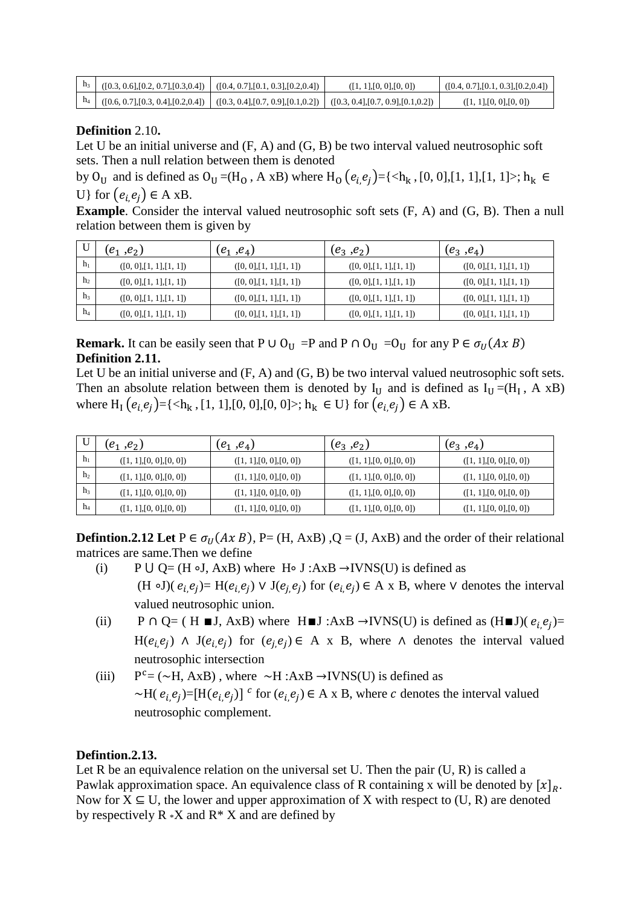| $h_3$ ([0.3, 0.6], [0.2, 0.7], [0.3, 0.4]) | ([0.4, 0.7], [0.1, 0.3], [0.2, 0.4]) | ([1, 1], [0, 0], [0, 0])                                                    | ([0.4, 0.7], [0.1, 0.3], [0.2, 0.4]) |
|--------------------------------------------|--------------------------------------|-----------------------------------------------------------------------------|--------------------------------------|
| $h_4$ ([0.6, 0.7], [0.3, 0.4], [0.2, 0.4]) |                                      | $(0.3, 0.4], [0.7, 0.9], [0.1, 0.2])$ $(0.3, 0.4], [0.7, 0.9], [0.1, 0.2])$ | ([1, 1], [0, 0], [0, 0])             |

## **Definition** 2.10**.**

Let U be an initial universe and  $(F, A)$  and  $(G, B)$  be two interval valued neutrosophic soft sets. Then a null relation between them is denoted

by O<sub>U</sub> and is defined as O<sub>U</sub> =(H<sub>O</sub>, A xB) where H<sub>O</sub>  $(e_i,e_j)$ ={<h<sub>k</sub>, [0, 0],[1, 1],[1, 1]>; h<sub>k</sub> ∈ U} for  $(e_i e_j) \in A$  xB.

**Example**. Consider the interval valued neutrosophic soft sets  $(F, A)$  and  $(G, B)$ . Then a null relation between them is given by

|                | $(e_1, e_2)$             | $(e_1, e_4)$             | $(e_3, e_2)$             | $(e_3, e_4)$             |
|----------------|--------------------------|--------------------------|--------------------------|--------------------------|
| h <sub>1</sub> | ([0, 0], [1, 1], [1, 1]) | ([0, 0], [1, 1], [1, 1]) | ([0, 0], [1, 1], [1, 1]) | ([0, 0], [1, 1], [1, 1]) |
| h <sub>2</sub> | ([0, 0], [1, 1], [1, 1]) | ([0, 0], [1, 1], [1, 1]) | ([0, 0], [1, 1], [1, 1]) | ([0, 0], [1, 1], [1, 1]) |
| h <sub>3</sub> | ([0, 0], [1, 1], [1, 1]) | ([0, 0], [1, 1], [1, 1]) | ([0, 0], [1, 1], [1, 1]) | ([0, 0], [1, 1], [1, 1]) |
| $h_4$          | ([0, 0], [1, 1], [1, 1]) | ([0, 0], [1, 1], [1, 1]) | ([0, 0], [1, 1], [1, 1]) | ([0, 0], [1, 1], [1, 1]) |

**Remark.** It can be easily seen that P ∪ O<sub>U</sub> =P and P ∩ O<sub>U</sub> =O<sub>U</sub> for any P  $\in \sigma_U(A \times B)$ **Definition 2.11.**

Let U be an initial universe and  $(F, A)$  and  $(G, B)$  be two interval valued neutrosophic soft sets. Then an absolute relation between them is denoted by  $I_U$  and is defined as  $I_U = (H_I, A \times B)$ where  $H_1(e_i, e_j) = \{ \langle h_k, [1, 1], [0, 0], [0, 0] \rangle; h_k \in U \}$  for  $(e_i, e_j) \in A$  xB.

|                | $(e_1, e_2)$             | $(e_1, e_4)$             | $(e_3, e_2)$             | $(e_3, e_4)$             |
|----------------|--------------------------|--------------------------|--------------------------|--------------------------|
| $\mathbf{h}$   | ([1, 1], [0, 0], [0, 0]) | ([1, 1], [0, 0], [0, 0]) | ([1, 1], [0, 0], [0, 0]) | ([1, 1], [0, 0], [0, 0]) |
| h <sub>2</sub> | ([1, 1], [0, 0], [0, 0]) | ([1, 1], [0, 0], [0, 0]) | ([1, 1], [0, 0], [0, 0]) | ([1, 1], [0, 0], [0, 0]) |
| h <sub>3</sub> | ([1, 1], [0, 0], [0, 0]) | ([1, 1], [0, 0], [0, 0]) | ([1, 1], [0, 0], [0, 0]) | ([1, 1], [0, 0], [0, 0]) |
| $h_4$          | ([1, 1], [0, 0], [0, 0]) | ([1, 1], [0, 0], [0, 0]) | ([1, 1], [0, 0], [0, 0]) | ([1, 1], [0, 0], [0, 0]) |

**Defintion.2.12** Let  $P \in \sigma_U(Ax \ B)$ ,  $P = (H, AxB)$ ,  $Q = (J, AxB)$  and the order of their relational matrices are same.Then we define

- (i) P  $\bigcup Q = (H \circ J, AxB)$  where H∘ J :AxB →IVNS(U) is defined as (H ∘J)( $e_i, e_j$ ) = H( $e_i, e_j$ ) V J( $e_j, e_j$ ) for ( $e_i, e_j$ ) ∈ A x B, where V denotes the interval valued neutrosophic union.
- (ii) P ∩ Q= ( H ■J, AxB) where H ■J :AxB →IVNS(U) is defined as  $(H \blacksquare J)$  ( $e_i, e_j$ )= H( $e_i$ , $e_j$ ) ∧ J( $e_i$ , $e_j$ ) for ( $e_j$ , $e_j$ ) ∈ A x B, where ∧ denotes the interval valued neutrosophic intersection
- $(iii)$  $P^c = (\sim H, AxB)$ , where  $\sim H : AxB \rightarrow IVNS(U)$  is defined as ~H( $e_i$ , $e_j$ )=[H( $e_i$ , $e_j$ )]<sup> $c$ </sup> for ( $e_i$ , $e_j$ )  $\in$  A x B, where *c* denotes the interval valued neutrosophic complement.

# **Defintion.2.13.**

Let R be an equivalence relation on the universal set U. Then the pair  $(U, R)$  is called a Pawlak approximation space. An equivalence class of R containing x will be denoted by  $[x]_R$ . Now for  $X \subseteq U$ , the lower and upper approximation of X with respect to  $(U, R)$  are denoted by respectively  $R \times X$  and  $R \times X$  and are defined by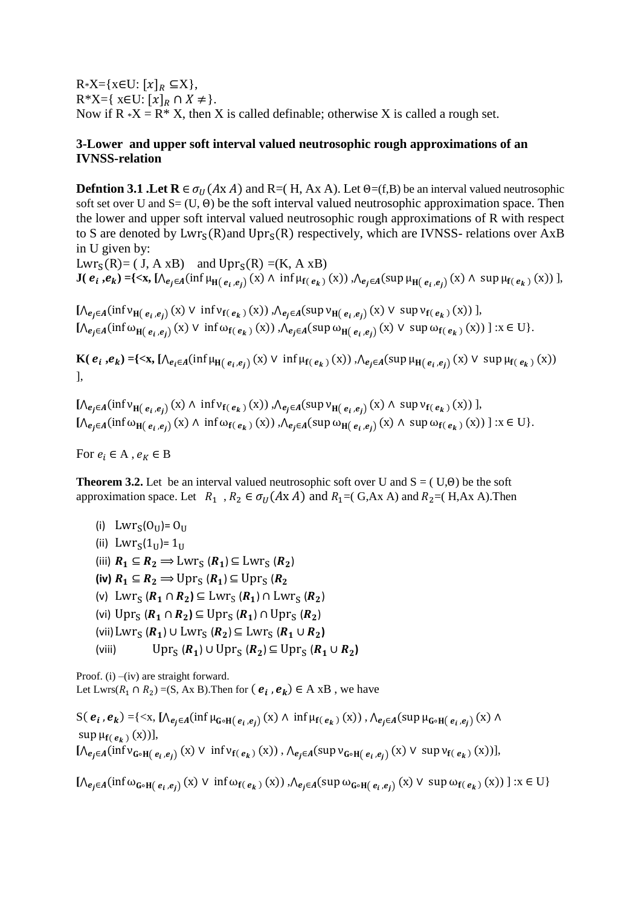$R*X=\{x\in U: [x]_R \subseteq X\},\$  $R^*X={ \mathsf{x} \in U: [x]_R \cap X \neq }.$ Now if  $R * X = R * X$ , then X is called definable; otherwise X is called a rough set.

## **3-Lower and upper soft interval valued neutrosophic rough approximations of an IVNSS-relation**

**Defntion 3.1 .Let R**  $\in \sigma_U(A \times A)$  and R=( H, Ax A). Let  $\Theta = (f, B)$  be an interval valued neutrosophic soft set over U and  $S = (U, \Theta)$  be the soft interval valued neutrosophic approximation space. Then the lower and upper soft interval valued neutrosophic rough approximations of R with respect to S are denoted by  $Lwr_S(R)$  and  $Upr_S(R)$  respectively, which are IVNSS- relations over AxB in U given by:

 $Lwr_S(R) = (J, A xB)$  and  $Upr_S(R) = (K, A xB)$ **J**( $e_i$ , $e_k$ ) ={<**x**,  $[Λ_{e_j ∈ A} (inf μ_{H(e_i, e_j)} (x) ∧ inf μ_{f(e_k)} (x))$ , Λ<sub> $e_j ∈ A$ </sub>(sup  $μ_{H(e_i, e_j)} (x) ∧ sup μ_{f(e_k)} (x))$ ],

 $[\bigwedge_{e_j \in A} (\inf v_{H(e_i, e_j)}(x) \vee \inf v_{f(e_k)}(x)) , \bigwedge_{e_j \in A} (\sup v_{H(e_i, e_j)}(x) \vee \sup v_{f(e_k)}(x))],$  $[\Lambda_{e_j \in A}(\inf \omega_{H(e_i, e_j)}(x) \vee \inf \omega_{f(e_k)}(x)), \Lambda_{e_j \in A}(\sup \omega_{H(e_i, e_j)}(x) \vee \sup \omega_{f(e_k)}(x))] : x \in U$ .

**K**( $e_i, e_k$ ) ={ $\langle x, [\Lambda_{e_i \in A}(\inf \mu_{H(e_i, e_j)}(x) \vee \inf \mu_{f(e_k)}(x)), \Lambda_{e_j \in A}(\sup \mu_{H(e_i, e_j)}(x) \vee \sup \mu_{f(e_k)}(x)) \rangle$ ],

 $[\Lambda_{e_j \in A}(\inf v_{H(e_i,e_j)}(x) \wedge \inf v_{f(e_k)}(x)) , \Lambda_{e_j \in A}(\sup v_{H(e_i,e_j)}(x) \wedge \sup v_{f(e_k)}(x))],$  $[\Lambda_{e_j \in A}(\inf \omega_{H(e_i, e_j)}(x) \wedge \inf \omega_{f(e_k)}(x)) , \Lambda_{e_j \in A}(\sup \omega_{H(e_i, e_j)}(x) \wedge \sup \omega_{f(e_k)}(x)) ] : x \in U$ .

For  $e_i \in A$ ,  $e_K \in B$ 

**Theorem 3.2.** Let be an interval valued neutrosophic soft over U and  $S = (U, \Theta)$  be the soft approximation space. Let  $R_1$ ,  $R_2 \in \sigma_U(A \times A)$  and  $R_1 = (G, Ax \times A)$  and  $R_2 = (H, Ax \times A)$ . Then

(i)  $Lwr_S(O_U)=O_U$ (ii)  $Lwr_S(1_U)=1_U$ (iii)  $R_1 \subseteq R_2 \Longrightarrow \text{Lwr}_{S}(R_1) \subseteq \text{Lwr}_{S}(R_2)$  $(iv)$   $R_1 \subseteq R_2 \Longrightarrow \text{Upr}_{S} (R_1) \subseteq \text{Upr}_{S} (R_2)$ (v)  $Lwr_S (R_1 \cap R_2) \subseteq Lwr_S (R_1) \cap Lwr_S (R_2)$ (vi)  $\text{Upr}_{S} (R_1 \cap R_2) \subseteq \text{Upr}_{S} (R_1) \cap \text{Upr}_{S} (R_2)$ (vii)  $Lwr_S (R_1) \cup Lwr_S (R_2) \subseteq Lwr_S (R_1 \cup R_2)$ (viii)  $\text{Upr}_{\text{S}}(\textbf{R}_1) \cup \text{Upr}_{\text{S}}(\textbf{R}_2) \subseteq \text{Upr}_{\text{S}}(\textbf{R}_1 \cup \textbf{R}_2)$ 

Proof. (i) –(iv) are straight forward. Let Lwrs( $R_1 \cap R_2$ ) =(S, Ax B). Then for  $(e_i, e_k) \in A \times B$ , we have

S( $e_i$ , $e_k$ ) ={<x,  $[\Lambda_{e_j \in A}(\inf \mu_{G \circ H(e_i, e_j)}(x) \wedge \inf \mu_{f(e_k)}(x))$ ,  $\Lambda_{e_j \in A}(\sup \mu_{G \circ H(e_i, e_j)}(x) \wedge$  $\sup \mu_{f(\,e_k\,)}(x))],$  $[\bigwedge_{e_j \in A} (\inf \mathsf{v}_{\mathsf{G} \circ \mathsf{H}(\, e_i, e_j)}(x) \vee \inf \mathsf{v}_{\mathsf{f}(\, e_k\,)}(x)) , \bigwedge_{e_j \in A} (\sup \mathsf{v}_{\mathsf{G} \circ \mathsf{H}(\, e_i, e_j)}(x) \vee \sup \mathsf{v}_{\mathsf{f}(\, e_k\,)}(x)) ]$ 

 $[\Lambda_{e_j \in A}(\inf \omega_{\mathbf{G} \circ \mathbf{H}(e_i, e_j)}(x) \vee \inf \omega_{\mathbf{f}(e_k)}(x)) , \Lambda_{e_j \in A}(\sup \omega_{\mathbf{G} \circ \mathbf{H}(e_i, e_j)}(x) \vee \sup \omega_{\mathbf{f}(e_k)}(x)) ] : x \in U \}$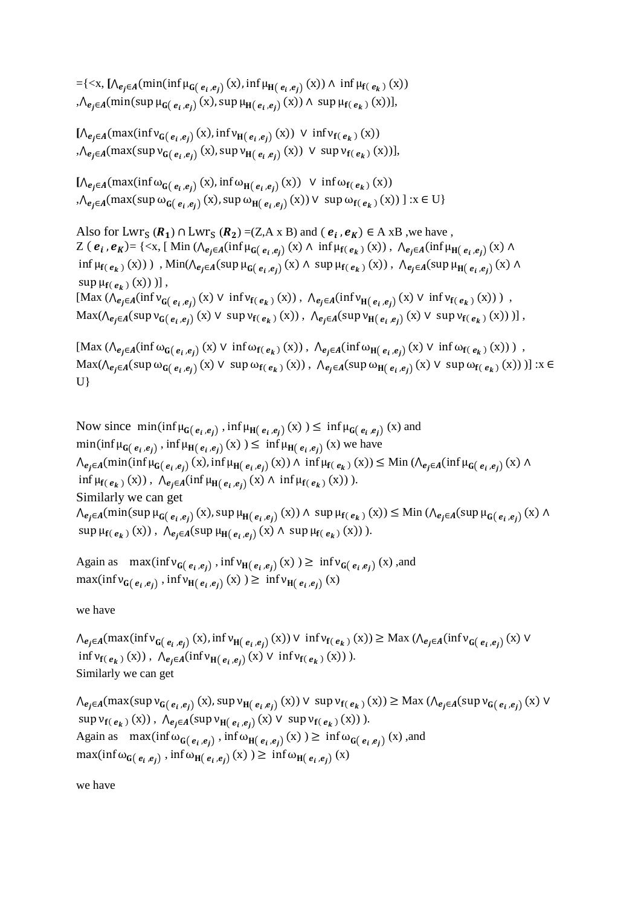={<x, [Λ<sub>e<sub>j</sub>∈<sub>A</sub>(min(inf μ<sub>G(e<sub>i</sub>,e<sub>j)</sub></sub>(x), inf μ<sub>H(e<sub>i</sub>,e<sub>j</sub>)</sub>(x)) ∧ inf μ<sub>f(e<sub>k</sub>)</sub>(x))</sub> ,  $\Lambda_{e_j \in A}(\min(\sup \mu_{G(e_i, e_j)}(x), \sup \mu_{H(e_i, e_j)}(x)) \wedge \sup \mu_{f(e_k)}(x))],$ 

 $[\bigwedge_{e_j \in A} (\max(\inf \mathsf{v}_{\mathsf{G}(e_i, e_j)}(x), \inf \mathsf{v}_{\mathsf{H}(e_i, e_j)}(x)) \vee \inf \mathsf{v}_{\mathsf{f}(e_k)}(x))]$ ,  $\bigwedge_{e_j \in A} (\max(\sup \mathsf{v}_{\mathsf{G}(e_i,e_j)}(x), \sup \mathsf{v}_{\mathsf{H}(e_i,e_j)}(x)) \vee \sup \mathsf{v}_{\mathsf{f}(e_k)}(x))],$ 

 $[\Lambda_{e_j \in A}(\max(\inf \omega_{G(e_i, e_j)}(x), \inf \omega_{H(e_i, e_j)}(x)) \ \vee \ \inf \omega_{f(e_k)}(x))$ ,  $\bigwedge_{e_j \in A} (\max(\sup \omega_{G(e_i, e_j)}(x), \sup \omega_{H(e_i, e_j)}(x)) \vee \sup \omega_{f(e_k)}(x)) \mid x \in U \}$ 

Also for Lwr<sub>S</sub> ( $R_1$ )  $\cap$  Lwr<sub>S</sub> ( $R_2$ ) = (Z,A x B) and ( $e_i$ ,  $e_K$ )  $\in$  A xB , we have, Z ( $e_i$ , $e_K$ )= {<x, [ Min ( $\Lambda_{e_j \in A}$ (inf  $\mu_{G(e_i, e_j)}$  (x)  $\Lambda$  inf  $\mu_{f(e_k)}$  (x)),  $\Lambda_{e_j \in A}$ (inf  $\mu_{H(e_i, e_j)}$  (x)  $\Lambda$  $\inf \mu_{f(e_k)}(x))$ ),  $\text{Min}(\bigwedge_{e_j \in A} (\text{sup } \mu_{G(e_i, e_j)}(x) \land \text{sup } \mu_{f(e_k)}(x))$ ,  $\bigwedge_{e_j \in A} (\text{sup } \mu_{H(e_i, e_j)}(x) \land$  $\sup \mu_{\mathbf{f}(\mathbf{e}_k)}(\mathbf{x}))$  )],  ${\rm Max} \left(\bigwedge_{e_j \in A} (\inf \mathsf{v}_{\mathsf{G}(e_i, e_j)}(x) \vee \inf \mathsf{v}_{\mathsf{f}(e_k)}(x)) \right), \bigwedge_{e_j \in A} (\inf \mathsf{v}_{\mathsf{H}(e_i, e_j)}(x) \vee \inf \mathsf{v}_{\mathsf{f}(e_k)}(x)) \right),$  $\text{Max}(\bigwedge_{e_j \in A} (\text{sup } v_{G(e_i, e_j)}(x) \vee \text{ sup } v_{f(e_k)}(x)), \bigwedge_{e_j \in A} (\text{sup } v_{H(e_i, e_j)}(x) \vee \text{ sup } v_{f(e_k)}(x)) ) ]$ ,

 ${\rm Max} \left(\bigwedge_{e_j \in A} (\inf \omega_{G(e_i, e_j)}(x) \vee \inf \omega_{f(e_k)}(x)) \right), \bigwedge_{e_j \in A} (\inf \omega_{H(e_i, e_j)}(x) \vee \inf \omega_{f(e_k)}(x)) \right),$  $\text{Max}(\bigwedge_{e_j \in A} (\text{sup } \omega_{G(e_i, e_j)}(x) \vee \text{ sup } \omega_{f(e_k)}(x)) , \bigwedge_{e_j \in A} (\text{sup } \omega_{H(e_i, e_j)}(x) \vee \text{ sup } \omega_{f(e_k)}(x)) ) ] : x \in$ U}

Now since  $\min(\inf \mu_{G(e_i, e_j)}, \inf \mu_{H(e_i, e_j)}(x)) \leq \inf \mu_{G(e_i, e_j)}(x)$  and  $\min(\inf \mu_{G(e_i, e_j)}, \inf \mu_{H(e_i, e_j)}(x)) \leq \inf \mu_{H(e_i, e_j)}(x)$  we have  $\Lambda_{e_j \in A}(\min(\inf \mu_{G(e_i, e_j)}(x), \inf \mu_{H(e_i, e_j)}(x)) \wedge \inf \mu_{f(e_k)}(x)) \leq \text{Min } (\Lambda_{e_j \in A}(\inf \mu_{G(e_i, e_j)}(x) \wedge \mu_{G(e_i, e_j)}(x)))$  $\inf \mu_{f(e_k)}(x))$ ,  $\bigwedge_{e_j \in A} (\inf \mu_{H(e_i, e_j)}(x) \wedge \inf \mu_{f(e_k)}(x))$ ). Similarly we can get  $\bigwedge_{e_j \in A} (\min(\sup \mu_{G(e_i, e_j)}(x), \sup \mu_{H(e_i, e_j)}(x)) \land \sup \mu_{f(e_k)}(x)) \leq \min (\bigwedge_{e_j \in A} (\sup \mu_{G(e_i, e_j)}(x) \land \mu_{G(e_i, e_j)}(x)) \leq \min (\bigwedge_{e_j \in A} (\sup \mu_{G(e_i, e_j)}(x))$  $\sup \mu_{f(e_k)}(x))$ ,  $\Lambda_{e_j \in A}(\sup \mu_{H(e_i,e_j)}(x) \wedge \sup \mu_{f(e_k)}(x))$ ).

Again as  $\max(\inf v_{G(e_i, e_j)}, \inf v_{H(e_i, e_j)}(x)) \ge \inf v_{G(e_i, e_j)}(x)$ , and  $\max(\inf v_{\mathsf{G}(e_i,e_j)},\inf v_{\mathsf{H}(e_i,e_j)}(x)) \geq \inf v_{\mathsf{H}(e_i,e_j)}(x)$ 

we have

 $\Lambda_{e_j \in A}(\max(\inf v_{G(e_i,e_j)}(x),\inf v_{H(e_i,e_j)}(x)) \vee \inf v_{f(e_k)}(x)) \geq \text{Max } (\Lambda_{e_j \in A}(\inf v_{G(e_i,e_j)}(x)) \vee \text{max}(f_{f(e_i,e_j)}(x))$  $\inf v_{f(e_k)}(x))$ ,  $\bigwedge_{e_j \in A} (\inf v_{H(e_i, e_j)}(x) \vee \inf v_{f(e_k)}(x))$ ). Similarly we can get

 $\bigwedge_{e_j \in A} (\max(\sup \mathsf{v}_{\mathsf{G}(e_i,e_j)}(x), \sup \mathsf{v}_{\mathsf{H}(e_i,e_j)}(x)) \vee \sup \mathsf{v}_{\mathsf{f}(e_k)}(x)) \geq \text{Max } (\bigwedge_{e_j \in A} (\sup \mathsf{v}_{\mathsf{G}(e_i,e_j)}(x) \vee \mathsf{g}_{\mathsf{H}(e_i,e_j)}(x)) \leq \text{Max } (\mathsf{H}(e_i,e_i))$  $\sup v_{f(\mathbf{e}_k)}(\mathbf{x}))$ ,  $\Lambda_{\mathbf{e}_j \in A}(\sup v_{\mathbf{H}(\mathbf{e}_i, \mathbf{e}_j)}(\mathbf{x}) \vee \sup v_{f(\mathbf{e}_k)}(\mathbf{x}))$ . Again as  $\max(\inf \omega_{G(e_i, e_j)}, \inf \omega_{H(e_i, e_j)}(x)) \ge \inf \omega_{G(e_i, e_j)}(x)$ , and  $\max(\inf \omega_{\mathbf{G}(e_i,e_j)}, \inf \omega_{\mathbf{H}(e_i,e_j)}(x)) \geq \inf \omega_{\mathbf{H}(e_i,e_j)}(x)$ 

we have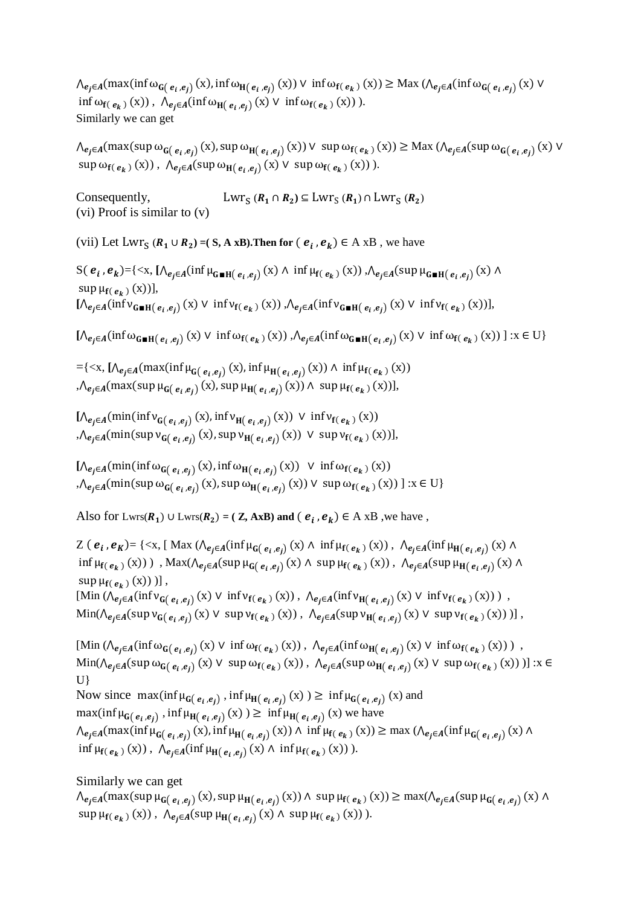$\Lambda_{e_j \in A}(\max(\inf \omega_{G(e_i, e_j)}(x), \inf \omega_{H(e_i, e_j)}(x)) \vee \inf \omega_{f(e_k)}(x)) \geq \text{Max } (\Lambda_{e_j \in A}(\inf \omega_{G(e_i, e_j)}(x)) \vee \omega_{G(e_i, e_j)}(x))$  $\inf \omega_{f(\mathbf{e}_k)}(x))$ ,  $\bigwedge_{e_j \in A} (\inf \omega_{H(\mathbf{e}_i, e_j)}(x) \vee \inf \omega_{f(\mathbf{e}_k)}(x))$ ). Similarly we can get

 $\Lambda_{e_j \in A}(\max(\sup \omega_{G(e_i, e_j)}(x), \sup \omega_{H(e_i, e_j)}(x)) \vee \sup \omega_{f(e_k)}(x)) \geq \text{Max } (\Lambda_{e_j \in A}(\sup \omega_{G(e_i, e_j)}(x) \vee \omega_{G(e_i, e_j)}(x)))$  $\sup \omega_{f(\,e_k\,)}(x))$ ,  $\Lambda_{e_j \in A}(\sup \omega_{H(\,e_i,e_j)}(x) \vee \sup \omega_{f(\,e_k\,)}(x))$ ).

Consequently,  $(R_1 \cap R_2) \subseteq Lwr_S(R_1) \cap Lwr_S(R_2)$ (vi) Proof is similar to (v)

(vii) Let  $Lwr_S$  ( $R_1 \cup R_2$ ) = (S, A xB). Then for  $(e_i, e_k) \in A \times B$ , we have

 $S(e_i, e_k) = \{ \langle x, [\Lambda_{e_j \in A}(\inf \mu_{G \blacksquare H(e_i, e_j)}(x) \land \inf \mu_{f(e_k)}(x)) , \Lambda_{e_j \in A}(\sup \mu_{G \blacksquare H(e_i, e_j)}(x) \land \mu_{f(e_k, e_j)}(x) \rangle \}$  $\sup \mu_{f(\,e_k\,)}(x))],$  $[\bigwedge_{e_j \in A} (\inf \vee_{G \blacksquare H(e_i, e_j)} (x) \vee \inf \vee_{f(e_k)} (x)) , \bigwedge_{e_j \in A} (\inf \vee_{G \blacksquare H(e_i, e_j)} (x) \vee \inf \vee_{f(e_k)} (x))],$ 

 $[\bigwedge_{e_j \in A} (\inf \omega_{\mathsf{G}}_{\mathsf{H}}(e_i, e_j)} (x) \vee \inf \omega_{\mathsf{f}}(e_k)(x)), \bigwedge_{e_j \in A} (\inf \omega_{\mathsf{G}}_{\mathsf{H}}(e_i, e_j)(x) \vee \inf \omega_{\mathsf{f}}(e_k)(x)) \exists x \in U \}$ 

 $=$ {<x, [Λ<sub>e<sub>j</sub>∈<sub>A</sub>(max(inf μ<sub>G(e<sub>i,</sub>e<sub>j)</sub> (x), inf μ<sub>H(e<sub>i,</sub>e<sub>j)</sub> (x)) ∧ inf μ<sub>f(e<sub>k</sub>)</sub> (x))</sub></sub></sub> ,  $\Lambda_{e_j \in A}(\max(\sup \mu_{G(e_i, e_j)}(x), \sup \mu_{H(e_i, e_j)}(x)) \wedge \sup \mu_{f(e_k)}(x))],$ 

 $[\bigwedge_{e_j \in A} (\min(\inf \mathsf{v}_{\mathsf{G}(e_i,e_j)}(x), \inf \mathsf{v}_{\mathsf{H}(e_i,e_j)}(x)) \vee \inf \mathsf{v}_{\mathsf{f}(e_k)}(x))]$ , $\Lambda_{e_j \in A}(\min(\sup \mathsf{v}_{\mathsf{G}(e_i,e_j)}(x), \sup \mathsf{v}_{\mathsf{H}(e_i,e_j)}(x)) \vee \sup \mathsf{v}_{\mathsf{f}(e_k)}(x))],$ 

 $[\bigwedge_{e_j \in A} (\min(\inf \omega_{G(e_i, e_j)}(x), \inf \omega_{H(e_i, e_j)}(x)) \vee \inf \omega_{f(e_k)}(x))$ , $\bigwedge_{e_j \in A} (\min(\sup \omega_{\mathbf{G}(e_i, e_j)}(x), \sup \omega_{\mathbf{H}(e_i, e_j)}(x)) \vee \sup \omega_{\mathbf{f}(e_k)}(x)) \mid x \in U \}$ 

Also for Lwrs( $R_1$ ) ∪ Lwrs( $R_2$ ) = (**Z, AxB) and (** $e_i$ ,  $e_k$ ) ∈ A xB, we have,

Z ( $e_i$ , $e_K$ ) = {<x, [ Max ( $\Lambda_{e_j \in A}(\inf \mu_{G(e_i, e_j)}(x) \land \inf \mu_{f(e_k)}(x))$ ,  $\Lambda_{e_j \in A}(\inf \mu_{H(e_i, e_j)}(x) \land$  $\inf \mu_{f(e_k)}(x))$ ),  $\text{Max}(\Lambda_{e_j \in A}(\sup \mu_{G(e_i, e_j)}(x) \land \sup \mu_{f(e_k)}(x))$ ,  $\Lambda_{e_j \in A}(\sup \mu_{H(e_i, e_j)}(x) \land \mu_{H(e_i, e_j)}(x))$  $\sup \mu_{\mathbf{f}(\mathbf{e}_k)}(\mathbf{x}))$  )],  $[\text{Min}(\bigwedge_{e_j \in A} (\inf \nu_{G(e_i, e_j)}(x) \vee \inf \nu_{f(e_k)}(x)), \bigwedge_{e_j \in A} (\inf \nu_{H(e_i, e_j)}(x) \vee \inf \nu_{f(e_k)}(x))\big)$ ,  $\text{Min}(\bigwedge_{e_j \in A} (\text{sup } \nu_{G(e_i, e_j)}(x) \vee \text{ sup } \nu_{f(e_k)}(x)), \bigwedge_{e_j \in A} (\text{sup } \nu_{H(e_i, e_j)}(x) \vee \text{ sup } \nu_{f(e_k)}(x)) ) ]$ 

 $[\text{Min}(\bigwedge_{e_j \in A} (\inf \omega_{G(e_i, e_j)}(x) \vee \inf \omega_{f(e_k)}(x)), \bigwedge_{e_j \in A} (\inf \omega_{H(e_i, e_j)}(x) \vee \inf \omega_{f(e_k)}(x))],$  $\text{Min}(\bigwedge_{e_j \in A} (\text{sup } \omega_{G(e_i, e_j)}(x) \vee \text{ sup } \omega_{f(e_k)}(x)) , \bigwedge_{e_j \in A} (\text{sup } \omega_{H(e_i, e_j)}(x) \vee \text{ sup } \omega_{f(e_k)}(x)) ) ] : x \in$ U} Now since  $\max(\inf \mu_{G(e_i, e_j)}, \inf \mu_{H(e_i, e_j)}(x)) \geq \inf \mu_{G(e_i, e_j)}(x)$  and  $\max(\inf \mu_{G(e_i, e_j)}, \inf \mu_{H(e_i, e_j)}(x)) \geq \inf \mu_{H(e_i, e_j)}(x)$  we have  $\Lambda_{e_j \in A}(\max(\inf \mu_{G(e_i,e_j)}(x), \inf \mu_{H(e_i,e_j)}(x)) \wedge \inf \mu_{f(e_k)}(x)) \ge \max (\Lambda_{e_j \in A}(\inf \mu_{G(e_i,e_j)}(x) \wedge$  $\inf \mu_{f(e_k)}(x))$ ,  $\bigwedge_{e_j \in A} (\inf \mu_{H(e_i, e_j)}(x) \wedge \inf \mu_{f(e_k)}(x))$ ).

Similarly we can get  $\Lambda_{e_j \in A}(\max(\sup \mu_{G(e_i, e_j)}(x), \sup \mu_{H(e_i, e_j)}(x)) \wedge \sup \mu_{f(e_k)}(x)) \geq \max(\Lambda_{e_j \in A}(\sup \mu_{G(e_i, e_j)}(x) \wedge \mu_{G(e_i, e_j)}(x)))$  $\sup \mu_{f(e_k)}(x))$ ,  $\Lambda_{e_j \in A}(\sup \mu_{H(e_i,e_j)}(x) \wedge \sup \mu_{f(e_k)}(x))$ ).